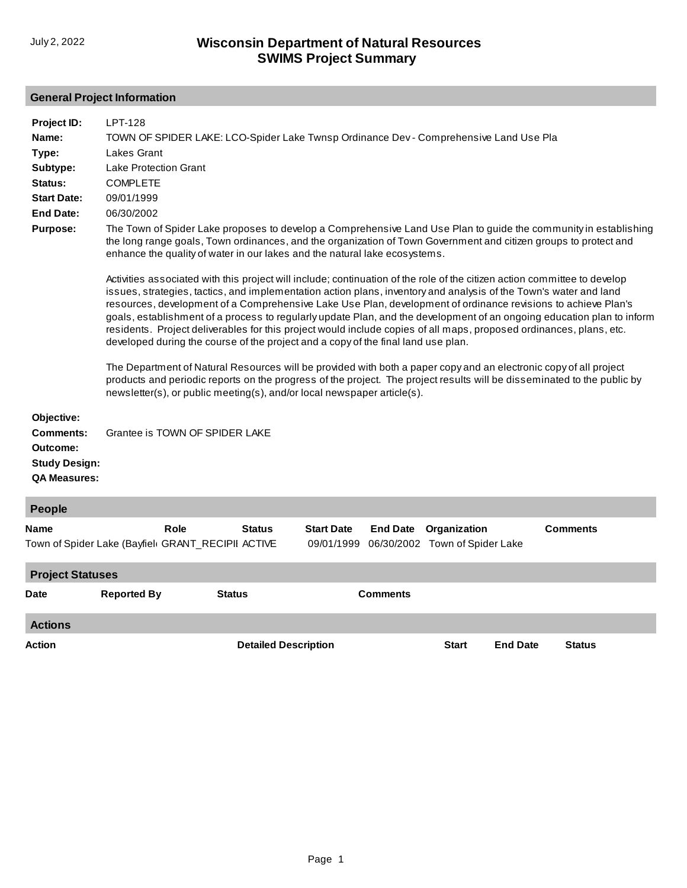# **General Project Information**

| Project ID:<br>Name:<br>Type:<br>Subtype:<br>Status:<br><b>Start Date:</b><br><b>End Date:</b><br><b>Purpose:</b> | LPT-128<br>TOWN OF SPIDER LAKE: LCO-Spider Lake Twnsp Ordinance Dev - Comprehensive Land Use Pla<br>Lakes Grant<br><b>Lake Protection Grant</b><br><b>COMPLETE</b><br>09/01/1999<br>06/30/2002<br>The Town of Spider Lake proposes to develop a Comprehensive Land Use Plan to guide the community in establishing<br>the long range goals, Town ordinances, and the organization of Town Government and citizen groups to protect and<br>enhance the quality of water in our lakes and the natural lake ecosystems.<br>Activities associated with this project will include; continuation of the role of the citizen action committee to develop<br>issues, strategies, tactics, and implementation action plans, inventory and analysis of the Town's water and land<br>resources, development of a Comprehensive Lake Use Plan, development of ordinance revisions to achieve Plan's<br>goals, establishment of a process to regularly update Plan, and the development of an ongoing education plan to inform<br>residents. Project deliverables for this project would include copies of all maps, proposed ordinances, plans, etc.<br>developed during the course of the project and a copy of the final land use plan.<br>The Department of Natural Resources will be provided with both a paper copy and an electronic copy of all project<br>products and periodic reports on the progress of the project. The project results will be disseminated to the public by |               |                                 |                 |                                                |                 |  |  |
|-------------------------------------------------------------------------------------------------------------------|-------------------------------------------------------------------------------------------------------------------------------------------------------------------------------------------------------------------------------------------------------------------------------------------------------------------------------------------------------------------------------------------------------------------------------------------------------------------------------------------------------------------------------------------------------------------------------------------------------------------------------------------------------------------------------------------------------------------------------------------------------------------------------------------------------------------------------------------------------------------------------------------------------------------------------------------------------------------------------------------------------------------------------------------------------------------------------------------------------------------------------------------------------------------------------------------------------------------------------------------------------------------------------------------------------------------------------------------------------------------------------------------------------------------------------------------------------------------------------|---------------|---------------------------------|-----------------|------------------------------------------------|-----------------|--|--|
| Objective:<br><b>Comments:</b><br>Outcome:<br><b>Study Design:</b><br><b>QA Measures:</b>                         | Grantee is TOWN OF SPIDER LAKE                                                                                                                                                                                                                                                                                                                                                                                                                                                                                                                                                                                                                                                                                                                                                                                                                                                                                                                                                                                                                                                                                                                                                                                                                                                                                                                                                                                                                                                |               |                                 |                 |                                                |                 |  |  |
| People                                                                                                            |                                                                                                                                                                                                                                                                                                                                                                                                                                                                                                                                                                                                                                                                                                                                                                                                                                                                                                                                                                                                                                                                                                                                                                                                                                                                                                                                                                                                                                                                               |               |                                 |                 |                                                |                 |  |  |
| Name                                                                                                              | Role<br>Town of Spider Lake (Bayfiel( GRANT_RECIPII ACTIVE                                                                                                                                                                                                                                                                                                                                                                                                                                                                                                                                                                                                                                                                                                                                                                                                                                                                                                                                                                                                                                                                                                                                                                                                                                                                                                                                                                                                                    | <b>Status</b> | <b>Start Date</b><br>09/01/1999 | <b>End Date</b> | Organization<br>06/30/2002 Town of Spider Lake | <b>Comments</b> |  |  |
| <b>Project Statuses</b>                                                                                           |                                                                                                                                                                                                                                                                                                                                                                                                                                                                                                                                                                                                                                                                                                                                                                                                                                                                                                                                                                                                                                                                                                                                                                                                                                                                                                                                                                                                                                                                               |               |                                 |                 |                                                |                 |  |  |
| <b>Date</b>                                                                                                       | <b>Reported By</b>                                                                                                                                                                                                                                                                                                                                                                                                                                                                                                                                                                                                                                                                                                                                                                                                                                                                                                                                                                                                                                                                                                                                                                                                                                                                                                                                                                                                                                                            | <b>Status</b> |                                 | <b>Comments</b> |                                                |                 |  |  |
| <b>Actions</b>                                                                                                    |                                                                                                                                                                                                                                                                                                                                                                                                                                                                                                                                                                                                                                                                                                                                                                                                                                                                                                                                                                                                                                                                                                                                                                                                                                                                                                                                                                                                                                                                               |               |                                 |                 |                                                |                 |  |  |

**Action Detailed Description Start End Date Status**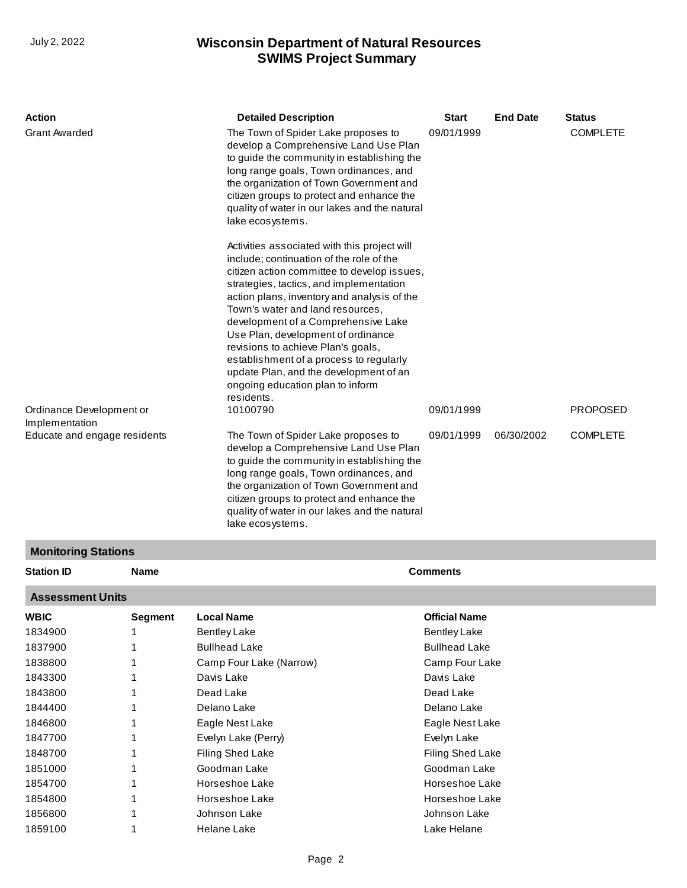Delano Lake [Eagle Nest Lake](http://prodoasint.dnr.wi.gov/wadrs/viewUnit.do?id=15449) [Evelyn Lake \(Perry\)](http://prodoasint.dnr.wi.gov/wadrs/viewUnit.do?id=15494) Filing Shed Lake [Goodman Lake](http://prodoasint.dnr.wi.gov/wadrs/viewUnit.do?id=15495) Horseshoe Lake Horseshoe Lake [Johnson Lake](http://prodoasint.dnr.wi.gov/wadrs/viewUnit.do?id=426817)  Helane Lake

## **SWIMS Project Summary** July 2, 2022 **Wisconsin Department of Natural Resources**

| Action<br><b>Grant Awarded</b>                 |                            | <b>Detailed Description</b><br>The Town of Spider Lake proposes to<br>develop a Comprehensive Land Use Plan<br>to guide the community in establishing the<br>long range goals, Town ordinances, and<br>the organization of Town Government and<br>citizen groups to protect and enhance the<br>quality of water in our lakes and the natural<br>lake ecosystems.<br>Activities associated with this project will<br>include; continuation of the role of the<br>citizen action committee to develop issues,<br>strategies, tactics, and implementation<br>action plans, inventory and analysis of the<br>Town's water and land resources,<br>development of a Comprehensive Lake<br>Use Plan, development of ordinance<br>revisions to achieve Plan's goals,<br>establishment of a process to regularly<br>update Plan, and the development of an<br>ongoing education plan to inform<br>residents. | Start<br>09/01/1999  | <b>End Date</b> | <b>Status</b><br><b>COMPLETE</b> |  |  |  |  |
|------------------------------------------------|----------------------------|-----------------------------------------------------------------------------------------------------------------------------------------------------------------------------------------------------------------------------------------------------------------------------------------------------------------------------------------------------------------------------------------------------------------------------------------------------------------------------------------------------------------------------------------------------------------------------------------------------------------------------------------------------------------------------------------------------------------------------------------------------------------------------------------------------------------------------------------------------------------------------------------------------|----------------------|-----------------|----------------------------------|--|--|--|--|
| Ordinance Development or                       |                            | 10100790                                                                                                                                                                                                                                                                                                                                                                                                                                                                                                                                                                                                                                                                                                                                                                                                                                                                                            | 09/01/1999           |                 | <b>PROPOSED</b>                  |  |  |  |  |
| Implementation<br>Educate and engage residents |                            | The Town of Spider Lake proposes to<br>develop a Comprehensive Land Use Plan<br>to guide the community in establishing the<br>long range goals, Town ordinances, and<br>the organization of Town Government and<br>citizen groups to protect and enhance the<br>quality of water in our lakes and the natural<br>lake ecosystems.                                                                                                                                                                                                                                                                                                                                                                                                                                                                                                                                                                   | 09/01/1999           | 06/30/2002      | <b>COMPLETE</b>                  |  |  |  |  |
|                                                | <b>Monitoring Stations</b> |                                                                                                                                                                                                                                                                                                                                                                                                                                                                                                                                                                                                                                                                                                                                                                                                                                                                                                     |                      |                 |                                  |  |  |  |  |
| <b>Station ID</b>                              | Name                       |                                                                                                                                                                                                                                                                                                                                                                                                                                                                                                                                                                                                                                                                                                                                                                                                                                                                                                     | <b>Comments</b>      |                 |                                  |  |  |  |  |
| <b>Assessment Units</b>                        |                            |                                                                                                                                                                                                                                                                                                                                                                                                                                                                                                                                                                                                                                                                                                                                                                                                                                                                                                     |                      |                 |                                  |  |  |  |  |
| <b>WBIC</b>                                    | <b>Segment</b>             | <b>Local Name</b>                                                                                                                                                                                                                                                                                                                                                                                                                                                                                                                                                                                                                                                                                                                                                                                                                                                                                   | <b>Official Name</b> |                 |                                  |  |  |  |  |
| 1834900                                        | 1                          | <b>Bentley Lake</b>                                                                                                                                                                                                                                                                                                                                                                                                                                                                                                                                                                                                                                                                                                                                                                                                                                                                                 | <b>Bentley Lake</b>  |                 |                                  |  |  |  |  |
| 1837900                                        | 1                          | <b>Bullhead Lake</b>                                                                                                                                                                                                                                                                                                                                                                                                                                                                                                                                                                                                                                                                                                                                                                                                                                                                                | <b>Bullhead Lake</b> |                 |                                  |  |  |  |  |
| 1838800<br>1                                   |                            | Camp Four Lake (Narrow)                                                                                                                                                                                                                                                                                                                                                                                                                                                                                                                                                                                                                                                                                                                                                                                                                                                                             | Camp Four Lake       |                 |                                  |  |  |  |  |
| 1843300<br>Davis Lake                          |                            |                                                                                                                                                                                                                                                                                                                                                                                                                                                                                                                                                                                                                                                                                                                                                                                                                                                                                                     | Davis Lake           |                 |                                  |  |  |  |  |
| 1843800<br>1                                   |                            | Dead Lake                                                                                                                                                                                                                                                                                                                                                                                                                                                                                                                                                                                                                                                                                                                                                                                                                                                                                           | Dead Lake            |                 |                                  |  |  |  |  |

[Delano Lake](http://prodoasint.dnr.wi.gov/wadrs/viewUnit.do?id=15492) Eagle Nest Lake Evelyn Lake [Filing Shed Lake](http://prodoasint.dnr.wi.gov/wadrs/viewUnit.do?id=15451) Goodman Lake [Horseshoe Lake](http://prodoasint.dnr.wi.gov/wadrs/viewUnit.do?id=15454) [Horseshoe Lake](http://prodoasint.dnr.wi.gov/wadrs/viewUnit.do?id=15496) Johnson Lake [Lake Helane](http://prodoasint.dnr.wi.gov/wadrs/viewUnit.do?id=15455)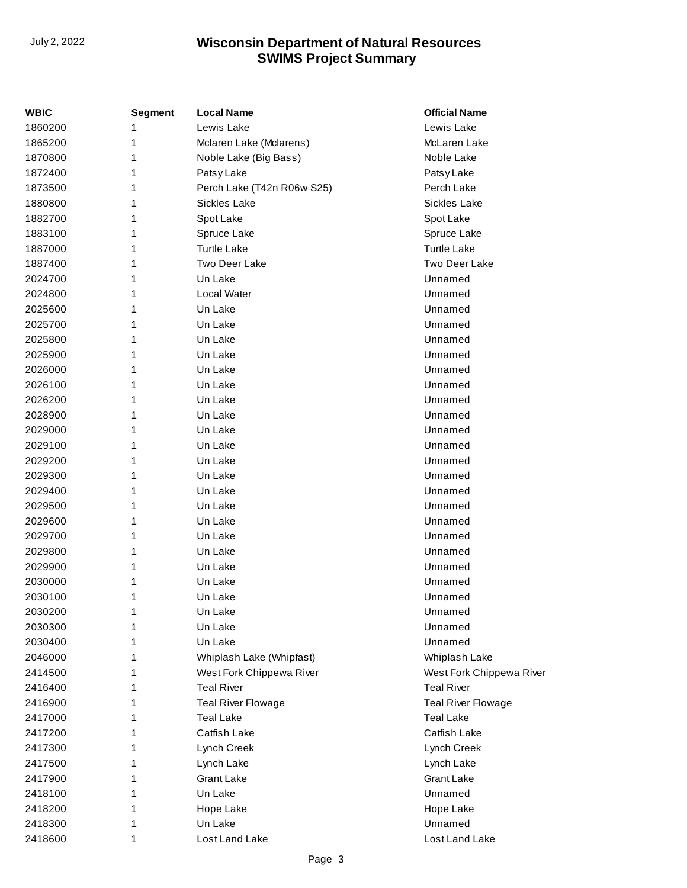## **SWIMS Project Summary** July 2, 2022 **Wisconsin Department of Natural Resources**

| <b>WBIC</b> | Segment | <b>Local Name</b>                   | <b>Official Name</b>      |
|-------------|---------|-------------------------------------|---------------------------|
| 1860200     | 1       | Lewis Lake<br>Lewis Lake            |                           |
| 1865200     | 1       | Mclaren Lake (Mclarens)             | McLaren Lake              |
| 1870800     | 1       | Noble Lake (Big Bass)<br>Noble Lake |                           |
| 1872400     | 1       | Patsy Lake                          | Patsy Lake                |
| 1873500     | 1       | Perch Lake (T42n R06w S25)          | Perch Lake                |
| 1880800     | 1       | Sickles Lake                        | Sickles Lake              |
| 1882700     | 1       | Spot Lake                           | Spot Lake                 |
| 1883100     | 1       | Spruce Lake                         | Spruce Lake               |
| 1887000     | 1       | <b>Turtle Lake</b>                  | <b>Turtle Lake</b>        |
| 1887400     | 1       | Two Deer Lake                       | Two Deer Lake             |
| 2024700     | 1       | Un Lake                             | Unnamed                   |
| 2024800     | 1       | Local Water                         | Unnamed                   |
| 2025600     | 1       | Un Lake                             | Unnamed                   |
| 2025700     | 1       | Un Lake                             | Unnamed                   |
| 2025800     | 1       | Un Lake                             | Unnamed                   |
| 2025900     | 1       | Un Lake                             | Unnamed                   |
| 2026000     | 1       | Un Lake                             | Unnamed                   |
| 2026100     | 1       | Un Lake                             | Unnamed                   |
| 2026200     | 1       | Un Lake                             | Unnamed                   |
| 2028900     | 1       | Un Lake                             | Unnamed                   |
| 2029000     | 1       | Un Lake                             | Unnamed                   |
| 2029100     | 1       | Un Lake                             | Unnamed                   |
| 2029200     | 1       | Un Lake                             | Unnamed                   |
| 2029300     | 1       | Un Lake                             | Unnamed                   |
| 2029400     | 1       | Un Lake                             | Unnamed                   |
| 2029500     | 1       | Un Lake                             | Unnamed                   |
| 2029600     | 1       | Un Lake                             | Unnamed                   |
| 2029700     | 1       | Un Lake                             | Unnamed                   |
| 2029800     | 1       | Un Lake                             | Unnamed                   |
| 2029900     | 1       | Un Lake                             | Unnamed                   |
| 2030000     | 1       | Un Lake                             | Unnamed                   |
| 2030100     | 1       | Un Lake                             | Unnamed                   |
| 2030200     | 1       | Un Lake                             | Unnamed                   |
| 2030300     | 1       | Un Lake                             | Unnamed                   |
| 2030400     | 1       | Un Lake                             | Unnamed                   |
| 2046000     | 1       | Whiplash Lake (Whipfast)            | Whiplash Lake             |
| 2414500     | 1       | West Fork Chippewa River            | West Fork Chippewa River  |
| 2416400     | 1       | <b>Teal River</b>                   | <b>Teal River</b>         |
| 2416900     | 1       | <b>Teal River Flowage</b>           | <b>Teal River Flowage</b> |
| 2417000     | 1       | <b>Teal Lake</b>                    | <b>Teal Lake</b>          |
| 2417200     | 1       | Catfish Lake                        | Catfish Lake              |
| 2417300     | 1       | Lynch Creek                         | Lynch Creek               |
| 2417500     | 1       | Lynch Lake                          | Lynch Lake                |
| 2417900     | 1       | <b>Grant Lake</b>                   | <b>Grant Lake</b>         |
| 2418100     | 1       | Un Lake                             | Unnamed                   |
| 2418200     | 1       | Hope Lake                           | Hope Lake                 |
| 2418300     | 1       | Un Lake                             | Unnamed                   |
| 2418600     | 1       | Lost Land Lake                      | Lost Land Lake            |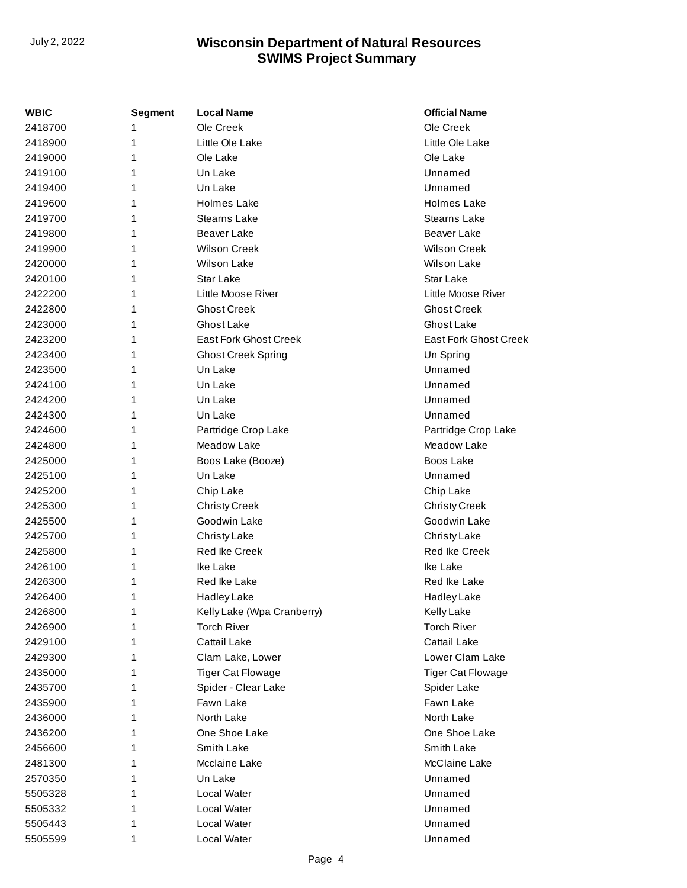## **SWIMS Project Summary** July 2, 2022 **Wisconsin Department of Natural Resources**

| WBIC    | <b>Segment</b> | <b>Local Name</b>            | <b>Official Name</b>     |
|---------|----------------|------------------------------|--------------------------|
| 2418700 | 1              | Ole Creek                    | Ole Creek                |
| 2418900 | 1              | Little Ole Lake              | Little Ole Lake          |
| 2419000 | 1              | Ole Lake                     | Ole Lake                 |
| 2419100 | 1              | Un Lake                      | Unnamed                  |
| 2419400 | 1              | Un Lake                      | Unnamed                  |
| 2419600 | 1              | <b>Holmes Lake</b>           | <b>Holmes Lake</b>       |
| 2419700 | 1              | <b>Stearns Lake</b>          | <b>Stearns Lake</b>      |
| 2419800 | 1              | <b>Beaver Lake</b>           | Beaver Lake              |
| 2419900 | 1              | <b>Wilson Creek</b>          | <b>Wilson Creek</b>      |
| 2420000 | 1              | <b>Wilson Lake</b>           | <b>Wilson Lake</b>       |
| 2420100 | 1              | Star Lake                    | <b>Star Lake</b>         |
| 2422200 | 1              | Little Moose River           | Little Moose River       |
| 2422800 | 1              | <b>Ghost Creek</b>           | <b>Ghost Creek</b>       |
| 2423000 | 1              | Ghost Lake                   | Ghost Lake               |
| 2423200 | 1              | <b>East Fork Ghost Creek</b> | East Fork Ghost Creek    |
| 2423400 | 1              | <b>Ghost Creek Spring</b>    | Un Spring                |
| 2423500 | 1              | Un Lake                      | Unnamed                  |
| 2424100 | 1              | Un Lake                      | Unnamed                  |
| 2424200 | 1              | Un Lake                      | Unnamed                  |
| 2424300 | 1              | Un Lake                      | Unnamed                  |
| 2424600 | 1              | Partridge Crop Lake          | Partridge Crop Lake      |
| 2424800 | 1              | Meadow Lake                  | Meadow Lake              |
| 2425000 | 1              | Boos Lake (Booze)            | Boos Lake                |
| 2425100 | 1              | Un Lake                      | Unnamed                  |
| 2425200 | 1              | Chip Lake                    | Chip Lake                |
| 2425300 | 1              | <b>Christy Creek</b>         | <b>Christy Creek</b>     |
| 2425500 | 1              | Goodwin Lake                 | Goodwin Lake             |
| 2425700 | 1              | <b>Christy Lake</b>          | Christy Lake             |
| 2425800 | 1              | <b>Red Ike Creek</b>         | <b>Red Ike Creek</b>     |
| 2426100 | 1              | Ike Lake                     | Ike Lake                 |
| 2426300 | 1              | Red Ike Lake                 | Red Ike Lake             |
| 2426400 | 1              | Hadley Lake                  | <b>Hadley Lake</b>       |
| 2426800 | 1              | Kelly Lake (Wpa Cranberry)   | Kelly Lake               |
| 2426900 | 1              | <b>Torch River</b>           | <b>Torch River</b>       |
| 2429100 | 1              | Cattail Lake                 | <b>Cattail Lake</b>      |
| 2429300 | 1              | Clam Lake, Lower             | Lower Clam Lake          |
| 2435000 | 1              | <b>Tiger Cat Flowage</b>     | <b>Tiger Cat Flowage</b> |
| 2435700 | 1              | Spider - Clear Lake          | Spider Lake              |
| 2435900 | 1              | Fawn Lake                    | Fawn Lake                |
| 2436000 | 1              | North Lake                   | North Lake               |
| 2436200 | 1              | One Shoe Lake                | One Shoe Lake            |
| 2456600 | 1              | Smith Lake                   | Smith Lake               |
| 2481300 | 1              | Mcclaine Lake                | McClaine Lake            |
| 2570350 | 1              | Un Lake                      | Unnamed                  |
| 5505328 | 1              | Local Water                  | Unnamed                  |
| 5505332 | 1              | Local Water                  | Unnamed                  |
| 5505443 | 1              | Local Water                  | Unnamed                  |
| 5505599 | 1              | Local Water                  | Unnamed                  |